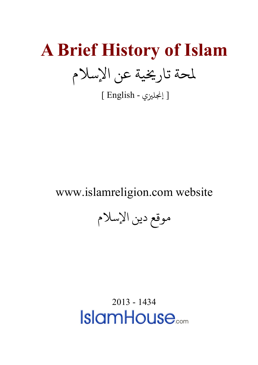# **A Brief History of Islam** لمحة تاريخية عن الإسلام

[ إ�ل�ي - English[

www.islamreligion.com website

موقع دين الإسلام

2013 - 1434**IslamHouse**<sub>com</sub>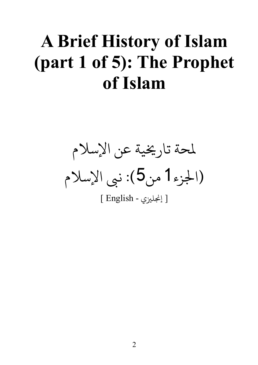### **A Brief History of Islam (part 1 of 5): The Prophet of Islam**

لحة تار�ية عن الإسلام (جلزء1 من5): ىب الإسلام

[ إ�ل�ي - English[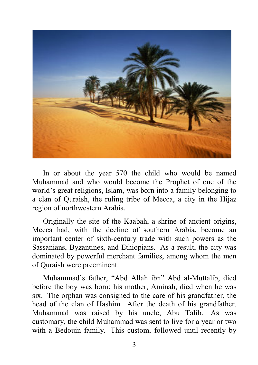

In or about the year 570 the child who would be named Muhammad and who would become the Prophet of one of the world's great religions, Islam, was born into a family belonging to a clan of Quraish, the ruling tribe of Mecca, a city in the Hijaz region of northwestern Arabia.

Originally the site of the Kaabah, a shrine of ancient origins, Mecca had, with the decline of southern Arabia, become an important center of sixth-century trade with such powers as the Sassanians, Byzantines, and Ethiopians. As a result, the city was dominated by powerful merchant families, among whom the men of Quraish were preeminent.

Muhammad's father, "Abd Allah ibn" Abd al-Muttalib, died before the boy was born; his mother, Aminah, died when he was six. The orphan was consigned to the care of his grandfather, the head of the clan of Hashim. After the death of his grandfather, Muhammad was raised by his uncle, Abu Talib. As was customary, the child Muhammad was sent to live for a year or two with a Bedouin family. This custom, followed until recently by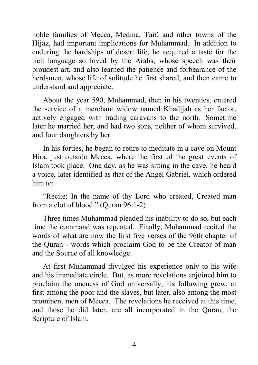noble families of Mecca, Medina, Taif, and other towns of the Hijaz, had important implications for Muhammad. In addition to enduring the hardships of desert life, he acquired a taste for the rich language so loved by the Arabs, whose speech was their proudest art, and also learned the patience and forbearance of the herdsmen, whose life of solitude he first shared, and then came to understand and appreciate.

About the year 590, Muhammad, then in his twenties, entered the service of a merchant widow named Khadijah as her factor, actively engaged with trading caravans to the north. Sometime later he married her, and had two sons, neither of whom survived, and four daughters by her.

In his forties, he began to retire to meditate in a cave on Mount Hira, just outside Mecca, where the first of the great events of Islam took place. One day, as he was sitting in the cave, he heard a voice, later identified as that of the Angel Gabriel, which ordered him to:

"Recite: In the name of thy Lord who created, Created man from a clot of blood." (Quran 96:1-2)

Three times Muhammad pleaded his inability to do so, but each time the command was repeated. Finally, Muhammad recited the words of what are now the first five verses of the 96th chapter of the Quran - words which proclaim God to be the Creator of man and the Source of all knowledge.

At first Muhammad divulged his experience only to his wife and his immediate circle. But, as more revelations enjoined him to proclaim the oneness of God universally, his following grew, at first among the poor and the slaves, but later, also among the most prominent men of Mecca. The revelations he received at this time, and those he did later, are all incorporated in the Quran, the Scripture of Islam.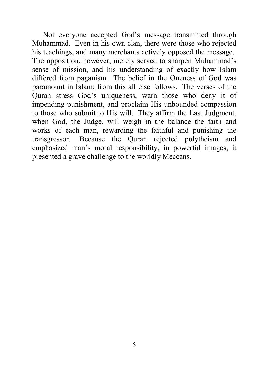Not everyone accepted God's message transmitted through Muhammad. Even in his own clan, there were those who rejected his teachings, and many merchants actively opposed the message. The opposition, however, merely served to sharpen Muhammad's sense of mission, and his understanding of exactly how Islam differed from paganism. The belief in the Oneness of God was paramount in Islam; from this all else follows. The verses of the Quran stress God's uniqueness, warn those who deny it of impending punishment, and proclaim His unbounded compassion to those who submit to His will. They affirm the Last Judgment, when God, the Judge, will weigh in the balance the faith and works of each man, rewarding the faithful and punishing the transgressor. Because the Quran rejected polytheism and emphasized man's moral responsibility, in powerful images, it presented a grave challenge to the worldly Meccans.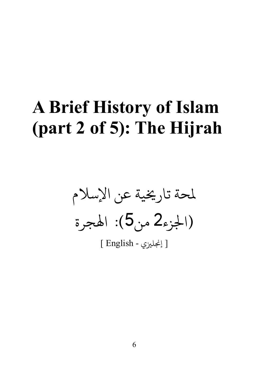### **A Brief History of Islam (part 2 of 5): The Hijrah**

لمحة تاريخية عن الإسلام (جلزء2 من5): اهلجرة

[ إ�ل�ي - English[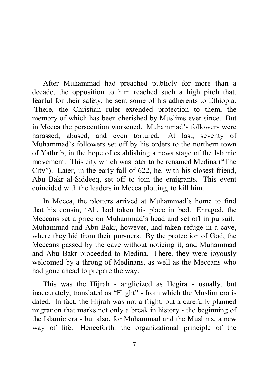After Muhammad had preached publicly for more than a decade, the opposition to him reached such a high pitch that, fearful for their safety, he sent some of his adherents to Ethiopia. There, the Christian ruler extended protection to them, the memory of which has been cherished by Muslims ever since. But in Mecca the persecution worsened. Muhammad's followers were harassed, abused, and even tortured. At last, seventy of Muhammad's followers set off by his orders to the northern town of Yathrib, in the hope of establishing a news stage of the Islamic movement. This city which was later to be renamed Medina ("The City"). Later, in the early fall of 622, he, with his closest friend, Abu Bakr al-Siddeeq, set off to join the emigrants. This event coincided with the leaders in Mecca plotting, to kill him.

In Mecca, the plotters arrived at Muhammad's home to find that his cousin, 'Ali, had taken his place in bed. Enraged, the Meccans set a price on Muhammad's head and set off in pursuit. Muhammad and Abu Bakr, however, had taken refuge in a cave, where they hid from their pursuers. By the protection of God, the Meccans passed by the cave without noticing it, and Muhammad and Abu Bakr proceeded to Medina. There, they were joyously welcomed by a throng of Medinans, as well as the Meccans who had gone ahead to prepare the way.

This was the Hijrah - anglicized as Hegira - usually, but inaccurately, translated as "Flight" - from which the Muslim era is dated. In fact, the Hijrah was not a flight, but a carefully planned migration that marks not only a break in history - the beginning of the Islamic era - but also, for Muhammad and the Muslims, a new way of life. Henceforth, the organizational principle of the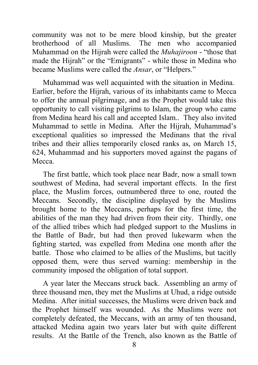community was not to be mere blood kinship, but the greater brotherhood of all Muslims. The men who accompanied Muhammad on the Hijrah were called the *Muhajiroon* - "those that made the Hijrah" or the "Emigrants" - while those in Medina who became Muslims were called the *Ansar*, or "Helpers."

Muhammad was well acquainted with the situation in Medina. Earlier, before the Hijrah, various of its inhabitants came to Mecca to offer the annual pilgrimage, and as the Prophet would take this opportunity to call visiting pilgrims to Islam, the group who came from Medina heard his call and accepted Islam.. They also invited Muhammad to settle in Medina. After the Hijrah, Muhammad's exceptional qualities so impressed the Medinans that the rival tribes and their allies temporarily closed ranks as, on March 15, 624, Muhammad and his supporters moved against the pagans of Mecca.

The first battle, which took place near Badr, now a small town southwest of Medina, had several important effects. In the first place, the Muslim forces, outnumbered three to one, routed the Meccans. Secondly, the discipline displayed by the Muslims brought home to the Meccans, perhaps for the first time, the abilities of the man they had driven from their city. Thirdly, one of the allied tribes which had pledged support to the Muslims in the Battle of Badr, but had then proved lukewarm when the fighting started, was expelled from Medina one month after the battle. Those who claimed to be allies of the Muslims, but tacitly opposed them, were thus served warning: membership in the community imposed the obligation of total support.

A year later the Meccans struck back. Assembling an army of three thousand men, they met the Muslims at Uhud, a ridge outside Medina. After initial successes, the Muslims were driven back and the Prophet himself was wounded. As the Muslims were not completely defeated, the Meccans, with an army of ten thousand, attacked Medina again two years later but with quite different results. At the Battle of the Trench, also known as the Battle of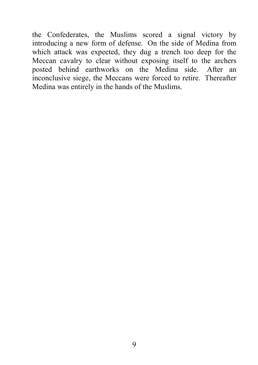the Confederates, the Muslims scored a signal victory by introducing a new form of defense. On the side of Medina from which attack was expected, they dug a trench too deep for the Meccan cavalry to clear without exposing itself to the archers posted behind earthworks on the Medina side. After an inconclusive siege, the Meccans were forced to retire. Thereafter Medina was entirely in the hands of the Muslims.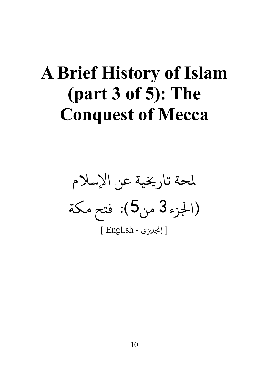### **A Brief History of Islam (part 3 of 5): The Conquest of Mecca**

لحة تار�ية عن الإسلام (جلزء3 من5): فتح مكة [ إ�ل�ي - English[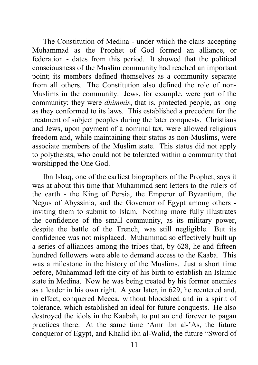The Constitution of Medina - under which the clans accepting Muhammad as the Prophet of God formed an alliance, or federation - dates from this period. It showed that the political consciousness of the Muslim community had reached an important point; its members defined themselves as a community separate from all others. The Constitution also defined the role of non-Muslims in the community. Jews, for example, were part of the community; they were *dhimmis*, that is, protected people, as long as they conformed to its laws. This established a precedent for the treatment of subject peoples during the later conquests. Christians and Jews, upon payment of a nominal tax, were allowed religious freedom and, while maintaining their status as non-Muslims, were associate members of the Muslim state. This status did not apply to polytheists, who could not be tolerated within a community that worshipped the One God.

Ibn Ishaq, one of the earliest biographers of the Prophet, says it was at about this time that Muhammad sent letters to the rulers of the earth - the King of Persia, the Emperor of Byzantium, the Negus of Abyssinia, and the Governor of Egypt among others inviting them to submit to Islam. Nothing more fully illustrates the confidence of the small community, as its military power, despite the battle of the Trench, was still negligible. But its confidence was not misplaced. Muhammad so effectively built up a series of alliances among the tribes that, by 628, he and fifteen hundred followers were able to demand access to the Kaaba. This was a milestone in the history of the Muslims. Just a short time before, Muhammad left the city of his birth to establish an Islamic state in Medina. Now he was being treated by his former enemies as a leader in his own right. A year later, in 629, he reentered and, in effect, conquered Mecca, without bloodshed and in a spirit of tolerance, which established an ideal for future conquests. He also destroyed the idols in the Kaabah, to put an end forever to pagan practices there. At the same time 'Amr ibn al-'As, the future conqueror of Egypt, and Khalid ibn al-Walid, the future "Sword of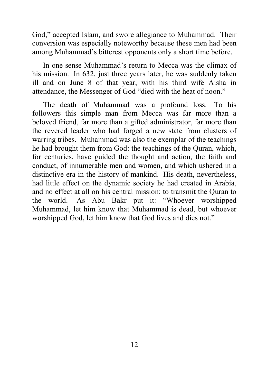God," accepted Islam, and swore allegiance to Muhammad. Their conversion was especially noteworthy because these men had been among Muhammad's bitterest opponents only a short time before.

In one sense Muhammad's return to Mecca was the climax of his mission. In 632, just three years later, he was suddenly taken ill and on June 8 of that year, with his third wife Aisha in attendance, the Messenger of God "died with the heat of noon."

The death of Muhammad was a profound loss. To his followers this simple man from Mecca was far more than a beloved friend, far more than a gifted administrator, far more than the revered leader who had forged a new state from clusters of warring tribes. Muhammad was also the exemplar of the teachings he had brought them from God: the teachings of the Quran, which, for centuries, have guided the thought and action, the faith and conduct, of innumerable men and women, and which ushered in a distinctive era in the history of mankind. His death, nevertheless, had little effect on the dynamic society he had created in Arabia, and no effect at all on his central mission: to transmit the Quran to the world. As Abu Bakr put it: "Whoever worshipped Muhammad, let him know that Muhammad is dead, but whoever worshipped God, let him know that God lives and dies not."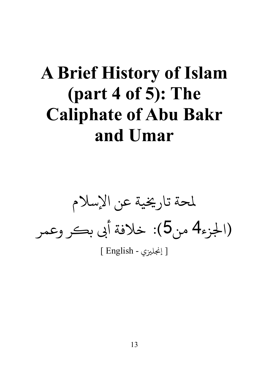### **A Brief History of Islam (part 4 of 5): The Caliphate of Abu Bakr and Umar**

لحة تار�ية عن الإسلام (الجزء4 من5): خلافة أبي بكر وعمر [ إ�ل�ي - English[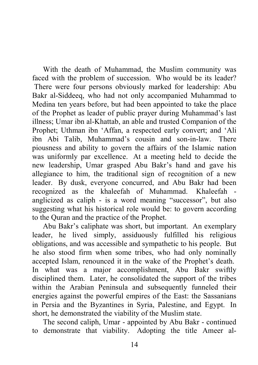With the death of Muhammad, the Muslim community was faced with the problem of succession. Who would be its leader? There were four persons obviously marked for leadership: Abu Bakr al-Siddeeq, who had not only accompanied Muhammad to Medina ten years before, but had been appointed to take the place of the Prophet as leader of public prayer during Muhammad's last illness; Umar ibn al-Khattab, an able and trusted Companion of the Prophet; Uthman ibn 'Affan, a respected early convert; and 'Ali ibn Abi Talib, Muhammad's cousin and son-in-law. There piousness and ability to govern the affairs of the Islamic nation was uniformly par excellence. At a meeting held to decide the new leadership, Umar grasped Abu Bakr's hand and gave his allegiance to him, the traditional sign of recognition of a new leader. By dusk, everyone concurred, and Abu Bakr had been recognized as the khaleefah of Muhammad. Khaleefah anglicized as caliph - is a word meaning "successor", but also suggesting what his historical role would be: to govern according to the Quran and the practice of the Prophet.

Abu Bakr's caliphate was short, but important. An exemplary leader, he lived simply, assiduously fulfilled his religious obligations, and was accessible and sympathetic to his people. But he also stood firm when some tribes, who had only nominally accepted Islam, renounced it in the wake of the Prophet's death. In what was a major accomplishment, Abu Bakr swiftly disciplined them. Later, he consolidated the support of the tribes within the Arabian Peninsula and subsequently funneled their energies against the powerful empires of the East: the Sassanians in Persia and the Byzantines in Syria, Palestine, and Egypt. In short, he demonstrated the viability of the Muslim state.

The second caliph, Umar - appointed by Abu Bakr - continued to demonstrate that viability. Adopting the title Ameer al-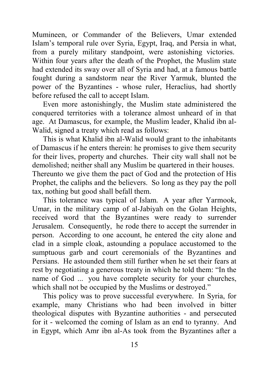Mumineen, or Commander of the Believers, Umar extended Islam's temporal rule over Syria, Egypt, Iraq, and Persia in what, from a purely military standpoint, were astonishing victories. Within four years after the death of the Prophet, the Muslim state had extended its sway over all of Syria and had, at a famous battle fought during a sandstorm near the River Yarmuk, blunted the power of the Byzantines - whose ruler, Heraclius, had shortly before refused the call to accept Islam.

Even more astonishingly, the Muslim state administered the conquered territories with a tolerance almost unheard of in that age. At Damascus, for example, the Muslim leader, Khalid ibn al-Walid, signed a treaty which read as follows:

This is what Khalid ibn al-Walid would grant to the inhabitants of Damascus if he enters therein: he promises to give them security for their lives, property and churches. Their city wall shall not be demolished; neither shall any Muslim be quartered in their houses. Thereunto we give them the pact of God and the protection of His Prophet, the caliphs and the believers. So long as they pay the poll tax, nothing but good shall befall them.

This tolerance was typical of Islam. A year after Yarmook, Umar, in the military camp of al-Jabiyah on the Golan Heights, received word that the Byzantines were ready to surrender Jerusalem. Consequently, he rode there to accept the surrender in person. According to one account, he entered the city alone and clad in a simple cloak, astounding a populace accustomed to the sumptuous garb and court ceremonials of the Byzantines and Persians. He astounded them still further when he set their fears at rest by negotiating a generous treaty in which he told them: "In the name of God ... you have complete security for your churches, which shall not be occupied by the Muslims or destroyed."

This policy was to prove successful everywhere. In Syria, for example, many Christians who had been involved in bitter theological disputes with Byzantine authorities - and persecuted for it - welcomed the coming of Islam as an end to tyranny. And in Egypt, which Amr ibn al-As took from the Byzantines after a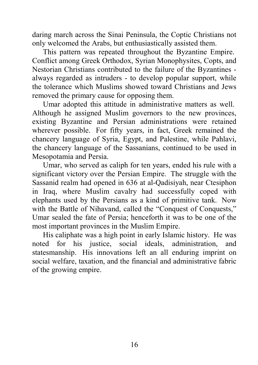daring march across the Sinai Peninsula, the Coptic Christians not only welcomed the Arabs, but enthusiastically assisted them.

This pattern was repeated throughout the Byzantine Empire. Conflict among Greek Orthodox, Syrian Monophysites, Copts, and Nestorian Christians contributed to the failure of the Byzantines always regarded as intruders - to develop popular support, while the tolerance which Muslims showed toward Christians and Jews removed the primary cause for opposing them.

Umar adopted this attitude in administrative matters as well. Although he assigned Muslim governors to the new provinces, existing Byzantine and Persian administrations were retained wherever possible. For fifty years, in fact, Greek remained the chancery language of Syria, Egypt, and Palestine, while Pahlavi, the chancery language of the Sassanians, continued to be used in Mesopotamia and Persia.

Umar, who served as caliph for ten years, ended his rule with a significant victory over the Persian Empire. The struggle with the Sassanid realm had opened in 636 at al-Qadisiyah, near Ctesiphon in Iraq, where Muslim cavalry had successfully coped with elephants used by the Persians as a kind of primitive tank. Now with the Battle of Nihavand, called the "Conquest of Conquests," Umar sealed the fate of Persia; henceforth it was to be one of the most important provinces in the Muslim Empire.

His caliphate was a high point in early Islamic history. He was noted for his justice, social ideals, administration, and statesmanship. His innovations left an all enduring imprint on social welfare, taxation, and the financial and administrative fabric of the growing empire.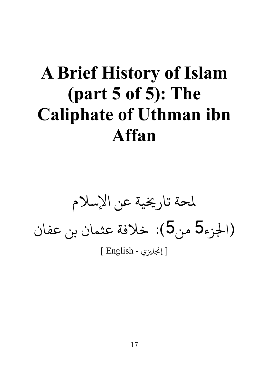## **A Brief History of Islam (part 5 of 5): The Caliphate of Uthman ibn Affan**

لحة تار�ية عن الإسلام (جلزء5 من5): خلافة عثمان بن عفان

[ إ�ل�ي - English[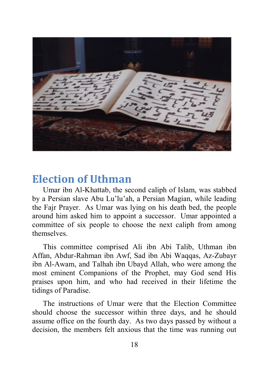

#### **Election of Uthman**

Umar ibn Al-Khattab, the second caliph of Islam, was stabbed by a Persian slave Abu Lu'lu'ah, a Persian Magian, while leading the Fajr Prayer. As Umar was lying on his death bed, the people around him asked him to appoint a successor. Umar appointed a committee of six people to choose the next caliph from among themselves.

This committee comprised Ali ibn Abi Talib, Uthman ibn Affan, Abdur-Rahman ibn Awf, Sad ibn Abi Waqqas, Az-Zubayr ibn Al-Awam, and Talhah ibn Ubayd Allah, who were among the most eminent Companions of the Prophet, may God send His praises upon him, and who had received in their lifetime the tidings of Paradise.

The instructions of Umar were that the Election Committee should choose the successor within three days, and he should assume office on the fourth day. As two days passed by without a decision, the members felt anxious that the time was running out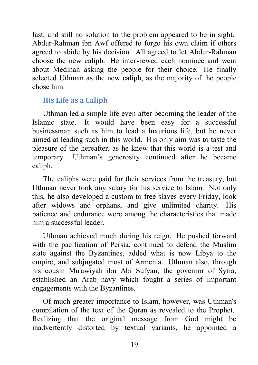fast, and still no solution to the problem appeared to be in sight. Abdur-Rahman ibn Awf offered to forgo his own claim if others agreed to abide by his decision. All agreed to let Abdur-Rahman choose the new caliph. He interviewed each nominee and went about Medinah asking the people for their choice. He finally selected Uthman as the new caliph, as the majority of the people chose him.

#### **His Life as a Caliph**

Uthman led a simple life even after becoming the leader of the Islamic state. It would have been easy for a successful businessman such as him to lead a luxurious life, but he never aimed at leading such in this world. His only aim was to taste the pleasure of the hereafter, as he knew that this world is a test and temporary. Uthman's generosity continued after he became caliph.

The caliphs were paid for their services from the treasury, but Uthman never took any salary for his service to Islam. Not only this, he also developed a custom to free slaves every Friday, look after widows and orphans, and give unlimited charity. His patience and endurance were among the characteristics that made him a successful leader.

Uthman achieved much during his reign. He pushed forward with the pacification of Persia, continued to defend the Muslim state against the Byzantines, added what is now Libya to the empire, and subjugated most of Armenia. Uthman also, through his cousin Mu'awiyah ibn Abi Sufyan, the governor of Syria, established an Arab navy which fought a series of important engagements with the Byzantines.

Of much greater importance to Islam, however, was Uthman's compilation of the text of the Quran as revealed to the Prophet. Realizing that the original message from God might be inadvertently distorted by textual variants, he appointed a